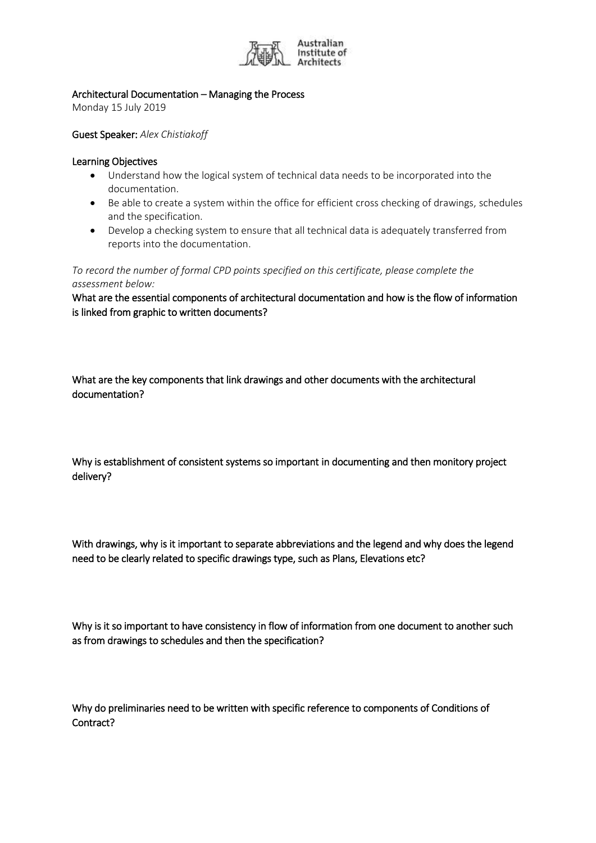

## Architectural Documentation – Managing the Process

Monday 15 July 2019

Guest Speaker: *Alex Chistiakoff*

## Learning Objectives

- Understand how the logical system of technical data needs to be incorporated into the documentation.
- Be able to create a system within the office for efficient cross checking of drawings, schedules and the specification.
- Develop a checking system to ensure that all technical data is adequately transferred from reports into the documentation.

*To record the number of formal CPD points specified on this certificate, please complete the assessment below:*

What are the essential components of architectural documentation and how is the flow of information is linked from graphic to written documents?

What are the key components that link drawings and other documents with the architectural documentation?

Why is establishment of consistent systems so important in documenting and then monitory project delivery?

With drawings, why is it important to separate abbreviations and the legend and why does the legend need to be clearly related to specific drawings type, such as Plans, Elevations etc?

Why is it so important to have consistency in flow of information from one document to another such as from drawings to schedules and then the specification?

Why do preliminaries need to be written with specific reference to components of Conditions of Contract?